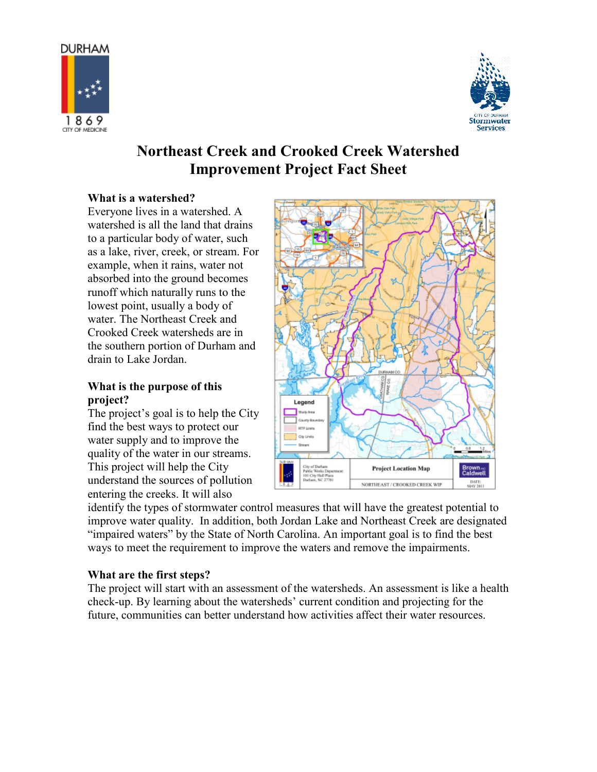



# Northeast Creek Creek and Crooked Creek Watershed Watershed Improvement Project Fact Sheet

## What is a watershed?

Everyone lives in a watershed. A watershed is all the land that drains to a particular body of water, such to a particular body of water, such<br>as a lake, river, creek, or stream. For example, when it rains, water not absorbed into the ground becomes runoff which naturally runs to the lowest point, usually a body of water. The Northeast Creek and Crooked Creek watersheds are in the southern portion of Durham and drain to Lake Jordan. ple, when it rains, water not<br>bed into the ground becomes<br>f which naturally runs to the<br>st point, usually a body of<br>. The Northeast Creek and<br>ked Creek watersheds are in<br>outhern portion of Durham an<br>to Lake Jordan.<br>**t** is

## What is the purpose of this project?

The project's goal is to help the City find the best ways to protect our water supply and to improve the quality of the water in our streams. This project will help the City understand the sources of pollution entering the creeks. It will also



improve water quality. In addition, both Jordan Lake and Northeast Creek are designated improve water quality. In addition, both Jordan Lake and Northeast Creek are designat "impaired waters" by the State of North Carolina. An important goal is to find the best ways to meet the requirement to improve the waters and remove the impairments. "impaired waters" by the State of North Carolina. An important goal is to find the best<br>ways to meet the requirement to improve the waters and remove the impairments.<br>What are the first steps?<br>The project will start with a

## What are the first steps?

check-up. By learning about the watersheds' current condition and projecting for the future, communities can better understand how activities affect their water resources.